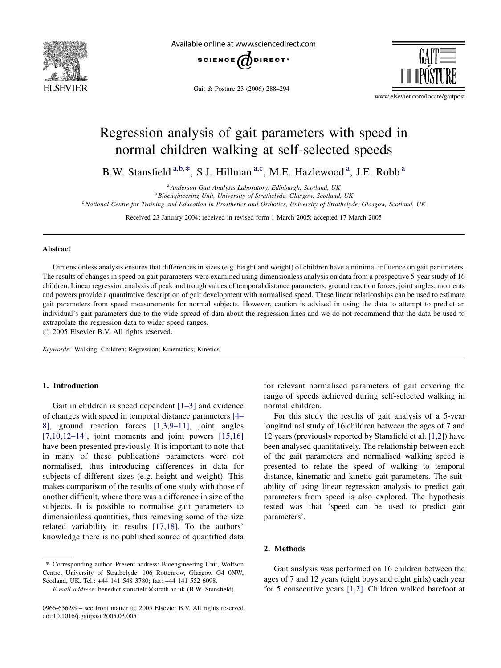

Available online at www.sciencedirect.com



Gait & Posture 23 (2006) 288–294



www.elsevier.com/locate/gaitpost

# Regression analysis of gait parameters with speed in normal children walking at self-selected speeds

B.W. Stansfield <sup>a,b,\*</sup>, S.J. Hillman <sup>a,c</sup>, M.E. Hazlewood <sup>a</sup>, J.E. Robb <sup>a</sup>

<sup>a</sup> Anderson Gait Analysis Laboratory, Edinburgh, Scotland, UK

<sup>b</sup> Bioengineering Unit, University of Strathclyde, Glasgow, Scotland, UK

 $c$  National Centre for Training and Education in Prosthetics and Orthotics, University of Strathclyde, Glasgow, Scotland, UK

Received 23 January 2004; received in revised form 1 March 2005; accepted 17 March 2005

#### Abstract

Dimensionless analysis ensures that differences in sizes (e.g. height and weight) of children have a minimal influence on gait parameters. The results of changes in speed on gait parameters were examined using dimensionless analysis on data from a prospective 5-year study of 16 children. Linear regression analysis of peak and trough values of temporal distance parameters, ground reaction forces, joint angles, moments and powers provide a quantitative description of gait development with normalised speed. These linear relationships can be used to estimate gait parameters from speed measurements for normal subjects. However, caution is advised in using the data to attempt to predict an individual's gait parameters due to the wide spread of data about the regression lines and we do not recommend that the data be used to extrapolate the regression data to wider speed ranges.

 $\odot$  2005 Elsevier B.V. All rights reserved.

Keywords: Walking; Children; Regression; Kinematics; Kinetics

## 1. Introduction

Gait in children is speed dependent [\[1–3\]](#page-5-0) and evidence of changes with speed in temporal distance parameters [\[4–](#page-6-0) [8\]](#page-6-0), ground reaction forces [\[1,3,9–11\]](#page-5-0), joint angles  $[7,10,12-14]$ , joint moments and joint powers  $[15,16]$ have been presented previously. It is important to note that in many of these publications parameters were not normalised, thus introducing differences in data for subjects of different sizes (e.g. height and weight). This makes comparison of the results of one study with those of another difficult, where there was a difference in size of the subjects. It is possible to normalise gait parameters to dimensionless quantities, thus removing some of the size related variability in results [\[17,18\]](#page-6-0). To the authors' knowledge there is no published source of quantified data

for relevant normalised parameters of gait covering the range of speeds achieved during self-selected walking in normal children.

For this study the results of gait analysis of a 5-year longitudinal study of 16 children between the ages of 7 and 12 years (previously reported by Stansfield et al. [\[1,2\]](#page-5-0)) have been analysed quantitatively. The relationship between each of the gait parameters and normalised walking speed is presented to relate the speed of walking to temporal distance, kinematic and kinetic gait parameters. The suitability of using linear regression analysis to predict gait parameters from speed is also explored. The hypothesis tested was that 'speed can be used to predict gait parameters'.

## 2. Methods

Gait analysis was performed on 16 children between the ages of 7 and 12 years (eight boys and eight girls) each year for 5 consecutive years [\[1,2\]](#page-5-0). Children walked barefoot at

<sup>\*</sup> Corresponding author. Present address: Bioengineering Unit, Wolfson Centre, University of Strathclyde, 106 Rottenrow, Glasgow G4 0NW, Scotland, UK. Tel.: +44 141 548 3780; fax: +44 141 552 6098.

E-mail address: benedict.stansfield@strath.ac.uk (B.W. Stansfield).

<sup>0966-6362/\$ –</sup> see front matter  $\odot$  2005 Elsevier B.V. All rights reserved. doi:10.1016/j.gaitpost.2005.03.005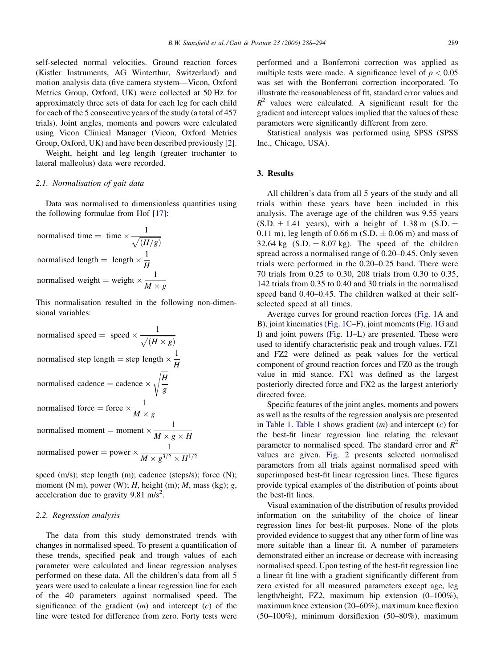self-selected normal velocities. Ground reaction forces (Kistler Instruments, AG Winterthur, Switzerland) and motion analysis data (five camera stystem—Vicon, Oxford Metrics Group, Oxford, UK) were collected at 50 Hz for approximately three sets of data for each leg for each child for each of the 5 consecutive years of the study (a total of 457 trials). Joint angles, moments and powers were calculated using Vicon Clinical Manager (Vicon, Oxford Metrics Group, Oxford, UK) and have been described previously [\[2\]](#page-5-0).

Weight, height and leg length (greater trochanter to lateral malleolus) data were recorded.

## 2.1. Normalisation of gait data

Data was normalised to dimensionless quantities using the following formulae from Hof [\[17\]:](#page-6-0)

normalised time = time × 
$$
\frac{1}{\sqrt{(H/g)}}
$$
  
normalised length = length ×  $\frac{1}{H}$   
normalised weight = weight ×  $\frac{1}{M \times g}$ 

This normalisation resulted in the following non-dimensional variables:

normalised speed  $=$  speed  $\times \frac{1}{\sqrt{(H \times g)}}$ normalised step length  $=$  step length  $\times \frac{1}{11}$ H normalised cadence  $=$  cadence  $\times$ ffiffiffiffi H g  $\overline{\phantom{a}}$ normalised force = force  $\times \frac{1}{\sqrt{1-\lambda}}$  $M \times g$ normalised moment = moment  $\times \frac{1}{1}$  $M \times g \times H$ normalised power = power  $\times \frac{1}{16}$  $M \times g^{3/2} \times H^{1/2}$ 

speed (m/s); step length (m); cadence (steps/s); force (N); moment (N m), power (W); H, height (m); M, mass (kg); g, acceleration due to gravity  $9.81 \text{ m/s}^2$ .

## 2.2. Regression analysis

The data from this study demonstrated trends with changes in normalised speed. To present a quantification of these trends, specified peak and trough values of each parameter were calculated and linear regression analyses performed on these data. All the children's data from all 5 years were used to calculate a linear regression line for each of the 40 parameters against normalised speed. The significance of the gradient  $(m)$  and intercept  $(c)$  of the line were tested for difference from zero. Forty tests were

performed and a Bonferroni correction was applied as multiple tests were made. A significance level of  $p < 0.05$ was set with the Bonferroni correction incorporated. To illustrate the reasonableness of fit, standard error values and  $R^2$  values were calculated. A significant result for the gradient and intercept values implied that the values of these parameters were significantly different from zero.

Statistical analysis was performed using SPSS (SPSS Inc., Chicago, USA).

#### 3. Results

All children's data from all 5 years of the study and all trials within these years have been included in this analysis. The average age of the children was 9.55 years  $(S.D. \pm 1.41$  years), with a height of 1.38 m  $(S.D. \pm 1.41)$  $(0.11 \text{ m})$ , leg length of  $0.66 \text{ m}$  (S.D.  $\pm 0.06 \text{ m}$ ) and mass of 32.64 kg  $(S.D. \pm 8.07 \text{ kg})$ . The speed of the children spread across a normalised range of 0.20–0.45. Only seven trials were performed in the 0.20–0.25 band. There were 70 trials from 0.25 to 0.30, 208 trials from 0.30 to 0.35, 142 trials from 0.35 to 0.40 and 30 trials in the normalised speed band 0.40–0.45. The children walked at their selfselected speed at all times.

Average curves for ground reaction forces ([Fig. 1A](#page-2-0) and B), joint kinematics ([Fig. 1](#page-2-0)C–F), joint moments ([Fig. 1](#page-2-0)G and I) and joint powers [\(Fig. 1J](#page-2-0)–L) are presented. These were used to identify characteristic peak and trough values. FZ1 and FZ2 were defined as peak values for the vertical component of ground reaction forces and FZ0 as the trough value in mid stance. FX1 was defined as the largest posteriorly directed force and FX2 as the largest anteriorly directed force.

Specific features of the joint angles, moments and powers as well as the results of the regression analysis are presented in [Table 1](#page-4-0). Table 1 shows gradient  $(m)$  and intercept  $(c)$  for the best-fit linear regression line relating the relevant parameter to normalised speed. The standard error and  $R^2$ values are given. [Fig. 2](#page-3-0) presents selected normalised parameters from all trials against normalised speed with superimposed best-fit linear regression lines. These figures provide typical examples of the distribution of points about the best-fit lines.

Visual examination of the distribution of results provided information on the suitability of the choice of linear regression lines for best-fit purposes. None of the plots provided evidence to suggest that any other form of line was more suitable than a linear fit. A number of parameters demonstrated either an increase or decrease with increasing normalised speed. Upon testing of the best-fit regression line a linear fit line with a gradient significantly different from zero existed for all measured parameters except age, leg length/height, FZ2, maximum hip extension (0–100%), maximum knee extension (20–60%), maximum knee flexion (50–100%), minimum dorsiflexion (50–80%), maximum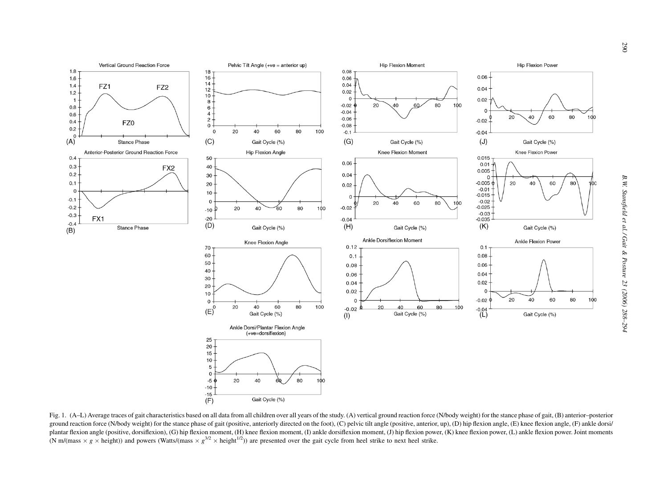<span id="page-2-0"></span>

Fig. 1. (A–L) Average traces of gait characteristics based on all data from all children over all years of the study. (A) vertical ground reaction force (N/body weight) for the stance phase of gait, (B) anterior–posterior ground reaction force (N/body weight) for the stance phase of gait (positive, anteriorly directed on the foot), (C) pelvic tilt angle (positive, anterior, up), (D) hip flexion angle, (E) knee flexion angle, (F) ankle dorsi plantar flexion angle (positive, dorsiflexion), (G) hip flexion moment, (H) knee flexion moment, (I) ankle dorsiflexion moment, (J) hip flexion power, (K) knee flexion power, (L) ankle flexion power. Joint moments (N m/(mass  $\times g \times$  height)) and powers (Watts/(mass  $\times g^{3/2} \times$  height<sup>1/2</sup>)) are presented over the gait cycle from heel strike to next heel strike.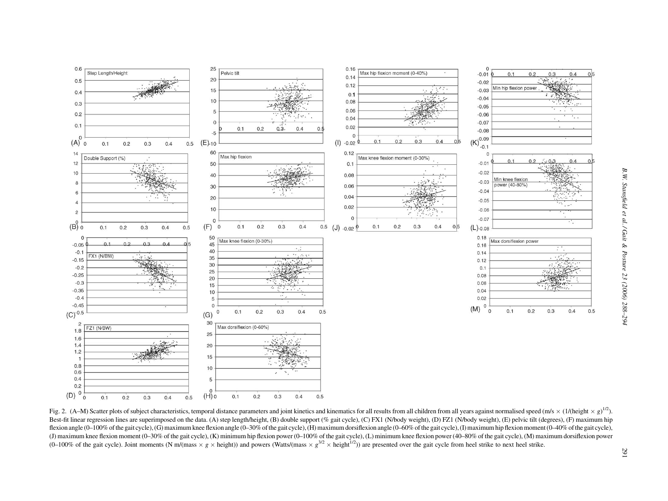<span id="page-3-0"></span>

Fig. 2. (A–M) Scatter plots of subject characteristics, temporal distance parameters and joint kinetics and kinematics for all results from all children from all years against normalised speed (m/s × (1/(height × g<sup>1/2</sup>).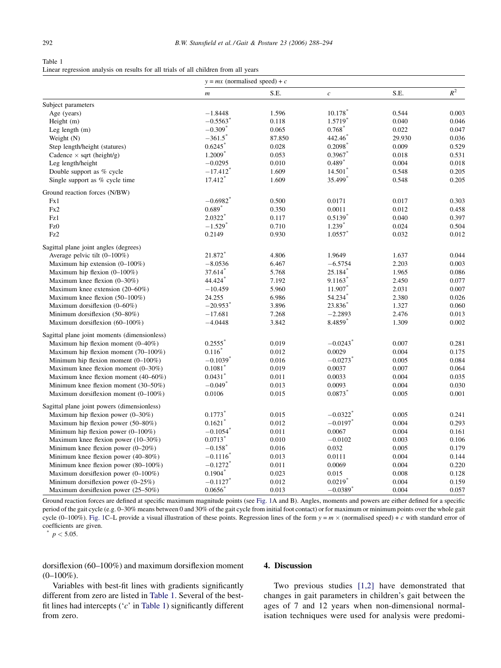<span id="page-4-0"></span>

| Table 1                                                                             |  |
|-------------------------------------------------------------------------------------|--|
| Linear regression analysis on results for all trials of all children from all years |  |

|                                              | $y = mx$ (normalised speed) + c |        |                        |        |       |  |
|----------------------------------------------|---------------------------------|--------|------------------------|--------|-------|--|
|                                              | $\boldsymbol{m}$                | S.E.   | $\boldsymbol{c}$       | S.E.   | $R^2$ |  |
| Subject parameters                           |                                 |        |                        |        |       |  |
| Age (years)                                  | $-1.8448$                       | 1.596  | 10.178                 | 0.544  | 0.003 |  |
| Height $(m)$                                 | $-0.5563$ <sup>*</sup>          | 0.118  | 1.5719*                | 0.040  | 0.046 |  |
| Leg length $(m)$                             | $-0.309$ <sup>*</sup>           | 0.065  | 0.768                  | 0.022  | 0.047 |  |
| Weight (N)                                   | $-361.5$                        | 87.850 | 442.46                 | 29.930 | 0.036 |  |
| Step length/height (statures)                | 0.6245                          | 0.028  | $0.2098^*$             | 0.009  | 0.529 |  |
| Cadence $\times$ sqrt (height/g)             | 1.2009*                         | 0.053  | $0.3967$ *             | 0.018  | 0.531 |  |
| Leg length/height                            | $-0.0295$                       | 0.010  | $0.489*$               | 0.004  | 0.018 |  |
| Double support as % cycle                    | $-17.412$ <sup>*</sup>          | 1.609  | $14.501$ <sup>*</sup>  | 0.548  | 0.205 |  |
| Single support as % cycle time               | $17.412*$                       | 1.609  | 35.499 <sup>*</sup>    | 0.548  | 0.205 |  |
| Ground reaction forces (N/BW)                |                                 |        |                        |        |       |  |
| Fx1                                          | $-0.6982$ <sup>*</sup>          | 0.500  | 0.0171                 | 0.017  | 0.303 |  |
| Fx2                                          | $0.689*$                        | 0.350  | 0.0011                 | 0.012  | 0.458 |  |
| Fz1                                          | $2.0322*$                       | 0.117  | $0.5139$ <sup>*</sup>  | 0.040  | 0.397 |  |
| Fz0                                          | $-1.529*$                       | 0.710  | $1.239*$               | 0.024  | 0.504 |  |
| Fz2                                          | 0.2149                          | 0.930  | $1.0557$ *             | 0.032  | 0.012 |  |
| Sagittal plane joint angles (degrees)        |                                 |        |                        |        |       |  |
| Average pelvic tilt $(0-100\%)$              | 21.872*                         | 4.806  | 1.9649                 | 1.637  | 0.044 |  |
| Maximum hip extension $(0-100\%)$            | $-8.0536$                       | 6.467  | $-6.5754$              | 2.203  | 0.003 |  |
| Maximum hip flexion $(0-100\%)$              | 37.614                          | 5.768  | 25.184                 | 1.965  | 0.086 |  |
| Maximum knee flexion $(0-30\%)$              | 44.424*                         | 7.192  | $9.1163*$              | 2.450  | 0.077 |  |
| Maximum knee extension (20–60%)              | $-10.459$                       | 5.960  | 11.907                 | 2.031  | 0.007 |  |
| Maximum knee flexion $(50-100\%)$            | 24.255                          | 6.986  | 54.234                 | 2.380  | 0.026 |  |
| Maximum dorsiflexion (0-60%)                 | $-20.953$ <sup>*</sup>          | 3.896  | 23.836                 | 1.327  | 0.060 |  |
| Minimum dorsifiexion (50–80%)                | $-17.681$                       | 7.268  | $-2.2893$              | 2.476  | 0.013 |  |
| Maximum dorsiflexion (60-100%)               | $-4.0448$                       | 3.842  | 8.4859*                | 1.309  | 0.002 |  |
| Sagittal plane joint moments (dimensionless) |                                 |        |                        |        |       |  |
| Maximum hip flexion moment $(0-40\%)$        | $0.2555$ <sup>*</sup>           | 0.019  | $-0.0243$ <sup>*</sup> | 0.007  | 0.281 |  |
| Maximum hip flexion moment (70–100%)         | $0.116*$                        | 0.012  | 0.0029                 | 0.004  | 0.175 |  |
| Minimum hip flexion moment $(0-100\%)$       | $-0.1039$ <sup>*</sup>          | 0.016  | $-0.0273$ <sup>*</sup> | 0.005  | 0.084 |  |
| Maximum knee flexion moment $(0-30\%)$       | $0.1081$ <sup>*</sup>           | 0.019  | 0.0037                 | 0.007  | 0.064 |  |
| Maximum knee flexion moment (40–60%)         | 0.0431                          | 0.011  | 0.0033                 | 0.004  | 0.035 |  |
| Minimum knee flexion moment (30–50%)         | $-0.049$ <sup>*</sup>           | 0.013  | 0.0093                 | 0.004  | 0.030 |  |
| Maximum dorsiflexion moment (0-100%)         | 0.0106                          | 0.015  | 0.0873                 | 0.005  | 0.001 |  |
| Sagittal plane joint powers (dimensionless)  |                                 |        |                        |        |       |  |
| Maximum hip flexion power $(0-30\%)$         | $0.1773*$                       | 0.015  | $-0.0322$ <sup>*</sup> | 0.005  | 0.241 |  |
| Maximum hip flexion power (50–80%)           | 0.1621                          | 0.012  | $-0.0197$              | 0.004  | 0.293 |  |
| Minimum hip flexion power $(0-100\%)$        | $-0.1054$ <sup>*</sup>          | 0.011  | 0.0067                 | 0.004  | 0.161 |  |
| Maximum knee flexion power (10–30%)          | $0.0713*$                       | 0.010  | $-0.0102$              | 0.003  | 0.106 |  |
| Minimum knee flexion power $(0-20\%)$        | $-0.158$ <sup>*</sup>           | 0.016  | 0.032                  | 0.005  | 0.179 |  |
| Minimum knee flexion power $(40-80\%)$       | $-0.1116$ <sup>*</sup>          | 0.013  | 0.0111                 | 0.004  | 0.144 |  |
| Minimum knee flexion power $(80-100\%)$      | $-0.1272$                       | 0.011  | 0.0069                 | 0.004  | 0.220 |  |
| Maximum dorsifiexion power $(0-100\%)$       | $0.1904*$                       | 0.023  | 0.015                  | 0.008  | 0.128 |  |
| Minimum dorsifiexion power $(0-25\%)$        | $-0.1127$ <sup>*</sup>          | 0.012  | $0.0219$ <sup>*</sup>  | 0.004  | 0.159 |  |
| Maximum dorsiflexion power (25–50%)          | 0.0656                          | 0.013  | $-0.0389$ <sup>*</sup> | 0.004  | 0.057 |  |
|                                              |                                 |        |                        |        |       |  |

Ground reaction forces are defined at specific maximum magnitude points (see [Fig. 1A](#page-2-0) and B). Angles, moments and powers are either defined for a specific period of the gait cycle (e.g. 0–30% means between 0 and 30% of the gait cycle from initial foot contact) or for maximum or minimum points over the whole gait cycle (0–100%). [Fig. 1](#page-2-0)C–L provide a visual illustration of these points. Regression lines of the form  $y = m \times$  (normalised speed) + c with standard error of coefficients are given.

 $p < 5.05$ .

dorsiflexion (60–100%) and maximum dorsiflexion moment  $(0-100\%)$ .

### 4. Discussion

Variables with best-fit lines with gradients significantly different from zero are listed in Table 1. Several of the bestfit lines had intercepts ('c' in Table 1) significantly different from zero.

Two previous studies [\[1,2\]](#page-5-0) have demonstrated that changes in gait parameters in children's gait between the ages of 7 and 12 years when non-dimensional normalisation techniques were used for analysis were predomi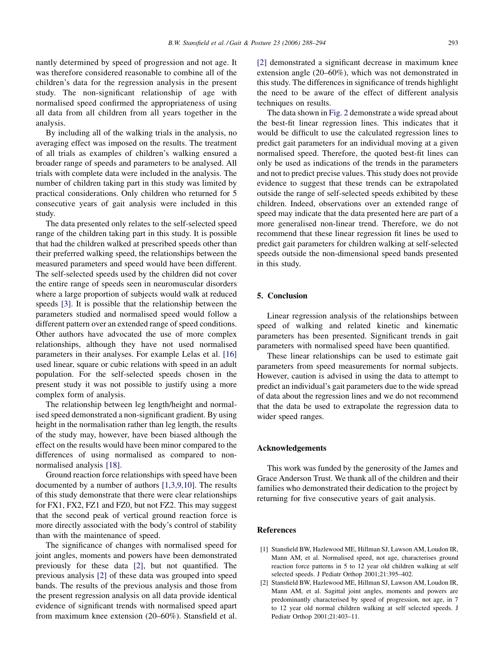<span id="page-5-0"></span>nantly determined by speed of progression and not age. It was therefore considered reasonable to combine all of the children's data for the regression analysis in the present study. The non-significant relationship of age with normalised speed confirmed the appropriateness of using all data from all children from all years together in the analysis.

By including all of the walking trials in the analysis, no averaging effect was imposed on the results. The treatment of all trials as examples of children's walking ensured a broader range of speeds and parameters to be analysed. All trials with complete data were included in the analysis. The number of children taking part in this study was limited by practical considerations. Only children who returned for 5 consecutive years of gait analysis were included in this study.

The data presented only relates to the self-selected speed range of the children taking part in this study. It is possible that had the children walked at prescribed speeds other than their preferred walking speed, the relationships between the measured parameters and speed would have been different. The self-selected speeds used by the children did not cover the entire range of speeds seen in neuromuscular disorders where a large proportion of subjects would walk at reduced speeds [\[3\]](#page-6-0). It is possible that the relationship between the parameters studied and normalised speed would follow a different pattern over an extended range of speed conditions. Other authors have advocated the use of more complex relationships, although they have not used normalised parameters in their analyses. For example Lelas et al. [\[16\]](#page-6-0) used linear, square or cubic relations with speed in an adult population. For the self-selected speeds chosen in the present study it was not possible to justify using a more complex form of analysis.

The relationship between leg length/height and normalised speed demonstrated a non-significant gradient. By using height in the normalisation rather than leg length, the results of the study may, however, have been biased although the effect on the results would have been minor compared to the differences of using normalised as compared to nonnormalised analysis [\[18\].](#page-6-0)

Ground reaction force relationships with speed have been documented by a number of authors [1,3,9,10]. The results of this study demonstrate that there were clear relationships for FX1, FX2, FZ1 and FZ0, but not FZ2. This may suggest that the second peak of vertical ground reaction force is more directly associated with the body's control of stability than with the maintenance of speed.

The significance of changes with normalised speed for joint angles, moments and powers have been demonstrated previously for these data [2], but not quantified. The previous analysis [2] of these data was grouped into speed bands. The results of the previous analysis and those from the present regression analysis on all data provide identical evidence of significant trends with normalised speed apart from maximum knee extension (20–60%). Stansfield et al.

[2] demonstrated a significant decrease in maximum knee extension angle (20–60%), which was not demonstrated in this study. The differences in significance of trends highlight the need to be aware of the effect of different analysis techniques on results.

The data shown in [Fig. 2](#page-3-0) demonstrate a wide spread about the best-fit linear regression lines. This indicates that it would be difficult to use the calculated regression lines to predict gait parameters for an individual moving at a given normalised speed. Therefore, the quoted best-fit lines can only be used as indications of the trends in the parameters and not to predict precise values. This study does not provide evidence to suggest that these trends can be extrapolated outside the range of self-selected speeds exhibited by these children. Indeed, observations over an extended range of speed may indicate that the data presented here are part of a more generalised non-linear trend. Therefore, we do not recommend that these linear regression fit lines be used to predict gait parameters for children walking at self-selected speeds outside the non-dimensional speed bands presented in this study.

#### 5. Conclusion

Linear regression analysis of the relationships between speed of walking and related kinetic and kinematic parameters has been presented. Significant trends in gait parameters with normalised speed have been quantified.

These linear relationships can be used to estimate gait parameters from speed measurements for normal subjects. However, caution is advised in using the data to attempt to predict an individual's gait parameters due to the wide spread of data about the regression lines and we do not recommend that the data be used to extrapolate the regression data to wider speed ranges.

#### Acknowledgements

This work was funded by the generosity of the James and Grace Anderson Trust. We thank all of the children and their families who demonstrated their dedication to the project by returning for five consecutive years of gait analysis.

## References

- [1] Stansfield BW, Hazlewood ME, Hillman SJ, Lawson AM, Loudon IR, Mann AM, et al. Normalised speed, not age, characterises ground reaction force patterns in 5 to 12 year old children walking at self selected speeds. J Pediatr Orthop 2001;21:395–402.
- [2] Stansfield BW, Hazlewood ME, Hillman SJ, Lawson AM, Loudon IR, Mann AM, et al. Sagittal joint angles, moments and powers are predominantly characterised by speed of progression, not age, in 7 to 12 year old normal children walking at self selected speeds. J Pediatr Orthop 2001;21:403–11.